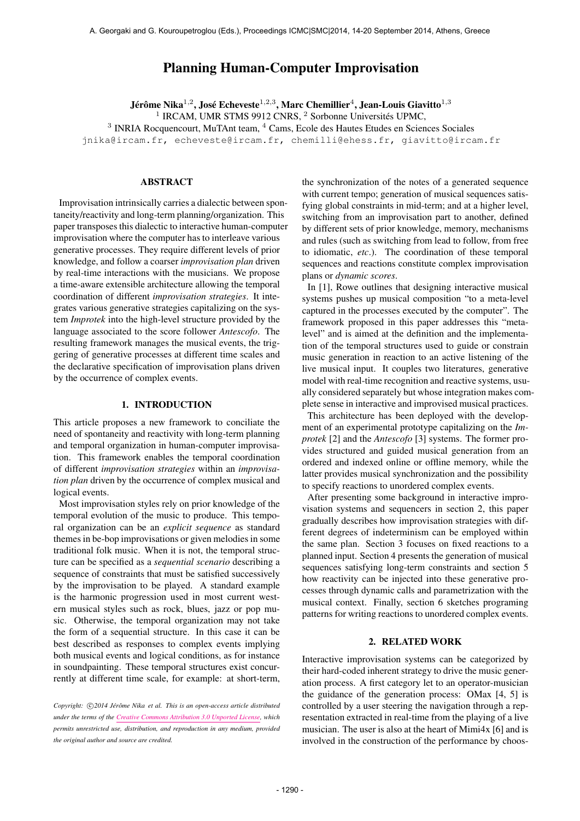# Planning Human-Computer Improvisation

Jérôme Nika $^{1,2}$ , José Echeveste $^{1,2,3}$ , Marc Chemillier $^4$ , Jean-Louis Giavitto $^{1,3}$ <sup>1</sup> IRCAM, UMR STMS 9912 CNRS, <sup>2</sup> Sorbonne Universités UPMC, <sup>3</sup> INRIA Rocquencourt, MuTAnt team, <sup>4</sup> Cams, Ecole des Hautes Etudes en Sciences Sociales [jnika@ircam.fr,](mailto:jnika@ircam.fr) [echeveste@ircam.fr,](mailto:echeveste@ircam.fr) [chemilli@ehess.fr,](mailto:chemilli@ehess.fr) [giavitto@ircam.fr](mailto:giavitto@ircam.fr)

## ABSTRACT

Improvisation intrinsically carries a dialectic between spontaneity/reactivity and long-term planning/organization. This paper transposes this dialectic to interactive human-computer improvisation where the computer has to interleave various generative processes. They require different levels of prior knowledge, and follow a coarser *improvisation plan* driven by real-time interactions with the musicians. We propose a time-aware extensible architecture allowing the temporal coordination of different *improvisation strategies*. It integrates various generative strategies capitalizing on the system *Improtek* into the high-level structure provided by the language associated to the score follower *Antescofo*. The resulting framework manages the musical events, the triggering of generative processes at different time scales and the declarative specification of improvisation plans driven by the occurrence of complex events.

# 1. INTRODUCTION

This article proposes a new framework to conciliate the need of spontaneity and reactivity with long-term planning and temporal organization in human-computer improvisation. This framework enables the temporal coordination of different *improvisation strategies* within an *improvisation plan* driven by the occurrence of complex musical and logical events.

Most improvisation styles rely on prior knowledge of the temporal evolution of the music to produce. This temporal organization can be an *explicit sequence* as standard themes in be-bop improvisations or given melodies in some traditional folk music. When it is not, the temporal structure can be specified as a *sequential scenario* describing a sequence of constraints that must be satisfied successively by the improvisation to be played. A standard example is the harmonic progression used in most current western musical styles such as rock, blues, jazz or pop music. Otherwise, the temporal organization may not take the form of a sequential structure. In this case it can be best described as responses to complex events implying both musical events and logical conditions, as for instance in soundpainting. These temporal structures exist concurrently at different time scale, for example: at short-term,

Copyright:  $\bigcirc$ 2014 Jérôme Nika et al. This is an open-access article distributed *under the terms of the [Creative Commons Attribution 3.0 Unported License,](http://creativecommons.org/licenses/by/3.0/) which permits unrestricted use, distribution, and reproduction in any medium, provided the original author and source are credited.*

the synchronization of the notes of a generated sequence with current tempo; generation of musical sequences satisfying global constraints in mid-term; and at a higher level, switching from an improvisation part to another, defined by different sets of prior knowledge, memory, mechanisms and rules (such as switching from lead to follow, from free to idiomatic, *etc*.). The coordination of these temporal sequences and reactions constitute complex improvisation plans or *dynamic scores*.

In [1]. Rowe outlines that designing interactive musical systems pushes up musical composition "to a meta-level captured in the processes executed by the computer". The framework proposed in this paper addresses this "metalevel" and is aimed at the definition and the implementation of the temporal structures used to guide or constrain music generation in reaction to an active listening of the live musical input. It couples two literatures, generative model with real-time recognition and reactive systems, usually considered separately but whose integration makes complete sense in interactive and improvised musical practices.

This architecture has been deployed with the development of an experimental prototype capitalizing on the *Improtek* [2] and the *Antescofo* [3] systems. The former provides structured and guided musical generation from an ordered and indexed online or offline memory, while the latter provides musical synchronization and the possibility to specify reactions to unordered complex events.

After presenting some background in interactive improvisation systems and sequencers in section 2, this paper gradually describes how improvisation strategies with different degrees of indeterminism can be employed within the same plan. Section 3 focuses on fixed reactions to a planned input. Section 4 presents the generation of musical sequences satisfying long-term constraints and section 5 how reactivity can be injected into these generative processes through dynamic calls and parametrization with the musical context. Finally, section 6 sketches programing patterns for writing reactions to unordered complex events.

### 2. RELATED WORK

Interactive improvisation systems can be categorized by their hard-coded inherent strategy to drive the music generation process. A first category let to an operator-musician the guidance of the generation process: OMax [4, 5] is controlled by a user steering the navigation through a representation extracted in real-time from the playing of a live musician. The user is also at the heart of Mimi4x [6] and is involved in the construction of the performance by choos-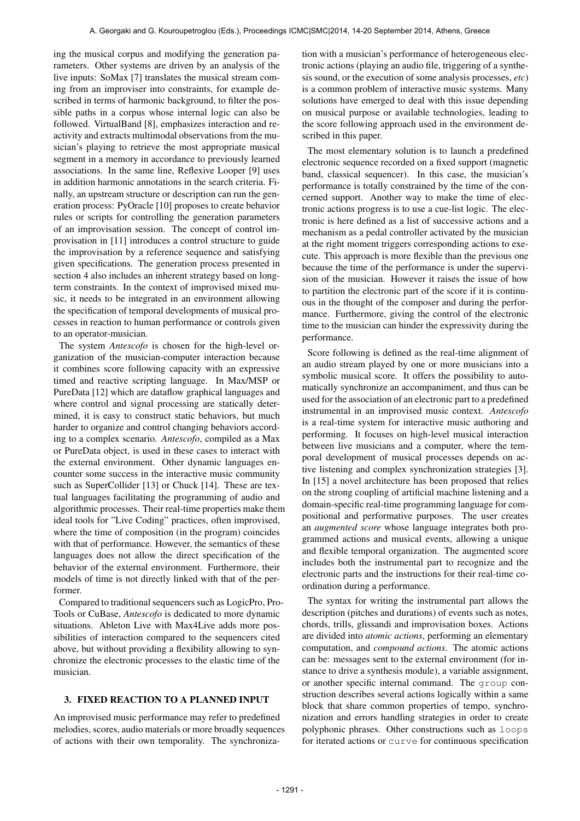ing the musical corpus and modifying the generation parameters. Other systems are driven by an analysis of the live inputs: SoMax [7] translates the musical stream coming from an improviser into constraints, for example described in terms of harmonic background, to filter the possible paths in a corpus whose internal logic can also be followed. VirtualBand [8], emphasizes interaction and reactivity and extracts multimodal observations from the musician's playing to retrieve the most appropriate musical segment in a memory in accordance to previously learned associations. In the same line, Reflexive Looper [9] uses in addition harmonic annotations in the search criteria. Finally, an upstream structure or description can run the generation process: PyOracle [10] proposes to create behavior rules or scripts for controlling the generation parameters of an improvisation session. The concept of control improvisation in [11] introduces a control structure to guide the improvisation by a reference sequence and satisfying given specifications. The generation process presented in section 4 also includes an inherent strategy based on longterm constraints. In the context of improvised mixed music, it needs to be integrated in an environment allowing the specification of temporal developments of musical processes in reaction to human performance or controls given to an operator-musician.

The system *Antescofo* is chosen for the high-level organization of the musician-computer interaction because it combines score following capacity with an expressive timed and reactive scripting language. In Max/MSP or PureData [12] which are dataflow graphical languages and where control and signal processing are statically determined, it is easy to construct static behaviors, but much harder to organize and control changing behaviors according to a complex scenario. *Antescofo*, compiled as a Max or PureData object, is used in these cases to interact with the external environment. Other dynamic languages encounter some success in the interactive music community such as SuperCollider [13] or Chuck [14]. These are textual languages facilitating the programming of audio and algorithmic processes. Their real-time properties make them ideal tools for "Live Coding" practices, often improvised, where the time of composition (in the program) coincides with that of performance. However, the semantics of these languages does not allow the direct specification of the behavior of the external environment. Furthermore, their models of time is not directly linked with that of the performer.

Compared to traditional sequencers such as LogicPro, Pro-Tools or CuBase, *Antescofo* is dedicated to more dynamic situations. Ableton Live with Max4Live adds more possibilities of interaction compared to the sequencers cited above, but without providing a flexibility allowing to synchronize the electronic processes to the elastic time of the musician.

## 3. FIXED REACTION TO A PLANNED INPUT

An improvised music performance may refer to predefined melodies, scores, audio materials or more broadly sequences of actions with their own temporality. The synchronization with a musician's performance of heterogeneous electronic actions (playing an audio file, triggering of a synthesis sound, or the execution of some analysis processes, *etc*) is a common problem of interactive music systems. Many solutions have emerged to deal with this issue depending on musical purpose or available technologies, leading to the score following approach used in the environment described in this paper.

The most elementary solution is to launch a predefined electronic sequence recorded on a fixed support (magnetic band, classical sequencer). In this case, the musician's performance is totally constrained by the time of the concerned support. Another way to make the time of electronic actions progress is to use a cue-list logic. The electronic is here defined as a list of successive actions and a mechanism as a pedal controller activated by the musician at the right moment triggers corresponding actions to execute. This approach is more flexible than the previous one because the time of the performance is under the supervision of the musician. However it raises the issue of how to partition the electronic part of the score if it is continuous in the thought of the composer and during the performance. Furthermore, giving the control of the electronic time to the musician can hinder the expressivity during the performance.

Score following is defined as the real-time alignment of an audio stream played by one or more musicians into a symbolic musical score. It offers the possibility to automatically synchronize an accompaniment, and thus can be used for the association of an electronic part to a predefined instrumental in an improvised music context. *Antescofo* is a real-time system for interactive music authoring and performing. It focuses on high-level musical interaction between live musicians and a computer, where the temporal development of musical processes depends on active listening and complex synchronization strategies [3]. In [15] a novel architecture has been proposed that relies on the strong coupling of artificial machine listening and a domain-specific real-time programming language for compositional and performative purposes. The user creates an *augmented score* whose language integrates both programmed actions and musical events, allowing a unique and flexible temporal organization. The augmented score includes both the instrumental part to recognize and the electronic parts and the instructions for their real-time coordination during a performance.

The syntax for writing the instrumental part allows the description (pitches and durations) of events such as notes, chords, trills, glissandi and improvisation boxes. Actions are divided into *atomic actions*, performing an elementary computation, and *compound actions*. The atomic actions can be: messages sent to the external environment (for instance to drive a synthesis module), a variable assignment, or another specific internal command. The group construction describes several actions logically within a same block that share common properties of tempo, synchronization and errors handling strategies in order to create polyphonic phrases. Other constructions such as loops for iterated actions or curve for continuous specification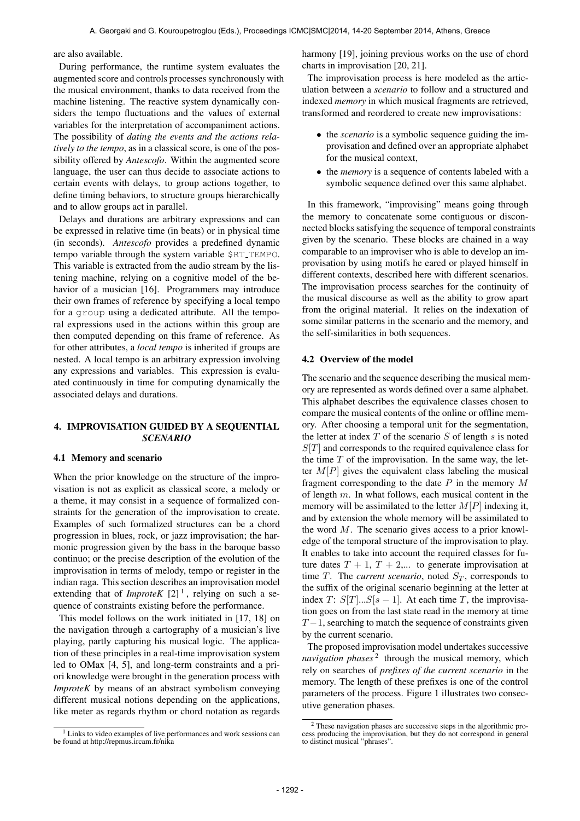are also available.

During performance, the runtime system evaluates the augmented score and controls processes synchronously with the musical environment, thanks to data received from the machine listening. The reactive system dynamically considers the tempo fluctuations and the values of external variables for the interpretation of accompaniment actions. The possibility of *dating the events and the actions relatively to the tempo*, as in a classical score, is one of the possibility offered by *Antescofo*. Within the augmented score language, the user can thus decide to associate actions to certain events with delays, to group actions together, to define timing behaviors, to structure groups hierarchically and to allow groups act in parallel.

Delays and durations are arbitrary expressions and can be expressed in relative time (in beats) or in physical time (in seconds). *Antescofo* provides a predefined dynamic tempo variable through the system variable \$RT TEMPO. This variable is extracted from the audio stream by the listening machine, relying on a cognitive model of the behavior of a musician [16]. Programmers may introduce their own frames of reference by specifying a local tempo for a group using a dedicated attribute. All the temporal expressions used in the actions within this group are then computed depending on this frame of reference. As for other attributes, a *local tempo* is inherited if groups are nested. A local tempo is an arbitrary expression involving any expressions and variables. This expression is evaluated continuously in time for computing dynamically the associated delays and durations.

# 4. IMPROVISATION GUIDED BY A SEQUENTIAL *SCENARIO*

#### 4.1 Memory and scenario

When the prior knowledge on the structure of the improvisation is not as explicit as classical score, a melody or a theme, it may consist in a sequence of formalized constraints for the generation of the improvisation to create. Examples of such formalized structures can be a chord progression in blues, rock, or jazz improvisation; the harmonic progression given by the bass in the baroque basso continuo; or the precise description of the evolution of the improvisation in terms of melody, tempo or register in the indian raga. This section describes an improvisation model extending that of *ImproteK*  $[2]$ <sup>1</sup>, relying on such a sequence of constraints existing before the performance.

This model follows on the work initiated in [17, 18] on the navigation through a cartography of a musician's live playing, partly capturing his musical logic. The application of these principles in a real-time improvisation system led to OMax [4, 5], and long-term constraints and a priori knowledge were brought in the generation process with *ImproteK* by means of an abstract symbolism conveying different musical notions depending on the applications, like meter as regards rhythm or chord notation as regards harmony [19], joining previous works on the use of chord charts in improvisation [20, 21].

The improvisation process is here modeled as the articulation between a *scenario* to follow and a structured and indexed *memory* in which musical fragments are retrieved, transformed and reordered to create new improvisations:

- the *scenario* is a symbolic sequence guiding the improvisation and defined over an appropriate alphabet for the musical context,
- the *memory* is a sequence of contents labeled with a symbolic sequence defined over this same alphabet.

In this framework, "improvising" means going through the memory to concatenate some contiguous or disconnected blocks satisfying the sequence of temporal constraints given by the scenario. These blocks are chained in a way comparable to an improviser who is able to develop an improvisation by using motifs he eared or played himself in different contexts, described here with different scenarios. The improvisation process searches for the continuity of the musical discourse as well as the ability to grow apart from the original material. It relies on the indexation of some similar patterns in the scenario and the memory, and the self-similarities in both sequences.

### 4.2 Overview of the model

The scenario and the sequence describing the musical memory are represented as words defined over a same alphabet. This alphabet describes the equivalence classes chosen to compare the musical contents of the online or offline memory. After choosing a temporal unit for the segmentation, the letter at index  $T$  of the scenario  $S$  of length  $s$  is noted  $S[T]$  and corresponds to the required equivalence class for the time  $T$  of the improvisation. In the same way, the letter  $M[P]$  gives the equivalent class labeling the musical fragment corresponding to the date  $P$  in the memory  $M$ of length m. In what follows, each musical content in the memory will be assimilated to the letter  $M[P]$  indexing it, and by extension the whole memory will be assimilated to the word  $M$ . The scenario gives access to a prior knowledge of the temporal structure of the improvisation to play. It enables to take into account the required classes for future dates  $T + 1$ ,  $T + 2,...$  to generate improvisation at time T. The *current scenario*, noted  $S_T$ , corresponds to the suffix of the original scenario beginning at the letter at index T:  $S[T]...S[s-1]$ . At each time T, the improvisation goes on from the last state read in the memory at time  $T-1$ , searching to match the sequence of constraints given by the current scenario.

The proposed improvisation model undertakes successive navigation phases<sup>2</sup> through the musical memory, which rely on searches of *prefixes of the current scenario* in the memory. The length of these prefixes is one of the control parameters of the process. Figure 1 illustrates two consecutive generation phases.

<sup>&</sup>lt;sup>1</sup> Links to video examples of live performances and work sessions can be found at http://repmus.ircam.fr/nika

<sup>2</sup> These navigation phases are successive steps in the algorithmic pro-cess producing the improvisation, but they do not correspond in general to distinct musical "phrases".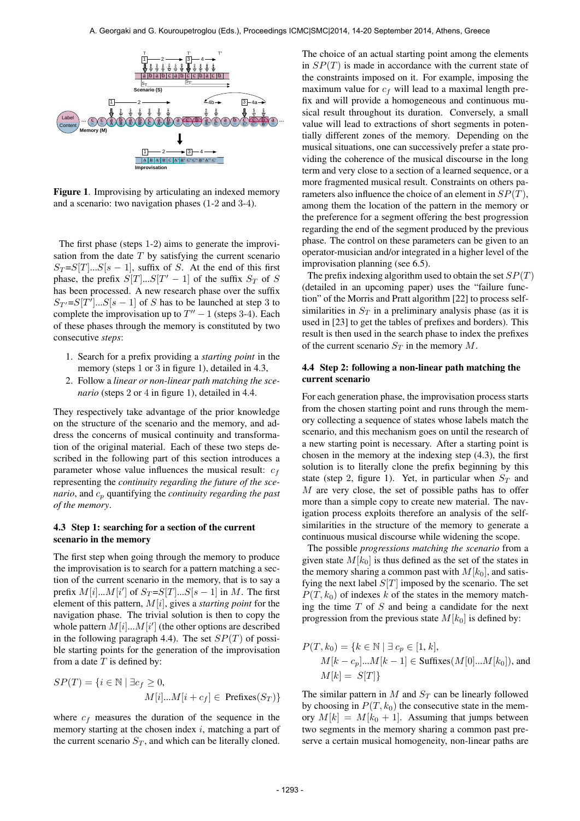

Figure 1. Improvising by articulating an indexed memory and a scenario: two navigation phases (1-2 and 3-4).

The first phase (steps 1-2) aims to generate the improvisation from the date  $T$  by satisfying the current scenario  $S_T = S[T]...S[s-1]$ , suffix of S. At the end of this first phase, the prefix  $S[T]...S[T'-1]$  of the suffix  $S_T$  of S has been processed. A new research phase over the suffix  $S_{T'} = S[T']...S[s-1]$  of S has to be launched at step 3 to complete the improvisation up to  $T'' - 1$  (steps 3-4). Each of these phases through the memory is constituted by two consecutive *steps*:

- 1. Search for a prefix providing a *starting point* in the memory (steps 1 or 3 in figure 1), detailed in 4.3,
- 2. Follow a *linear or non-linear path matching the scenario* (steps 2 or 4 in figure 1), detailed in 4.4.

They respectively take advantage of the prior knowledge on the structure of the scenario and the memory, and address the concerns of musical continuity and transformation of the original material. Each of these two steps described in the following part of this section introduces a parameter whose value influences the musical result:  $c_f$ representing the *continuity regarding the future of the scenario*, and  $c_p$  quantifying the *continuity regarding the past of the memory*.

# 4.3 Step 1: searching for a section of the current scenario in the memory

The first step when going through the memory to produce the improvisation is to search for a pattern matching a section of the current scenario in the memory, that is to say a prefix  $M[i]...M[i']$  of  $S_T = S[T]...S[s-1]$  in M. The first element of this pattern, M[i], gives a *starting point* for the navigation phase. The trivial solution is then to copy the whole pattern  $M[i]...M[i']$  (the other options are described in the following paragraph 4.4). The set  $SP(T)$  of possible starting points for the generation of the improvisation from a date  $T$  is defined by:

$$
SP(T) = \{ i \in \mathbb{N} \mid \exists c_f \ge 0,
$$
  

$$
M[i]...M[i + c_f] \in \text{Prefixes}(S_T) \}
$$

where  $c_f$  measures the duration of the sequence in the memory starting at the chosen index  $i$ , matching a part of the current scenario  $S_T$ , and which can be literally cloned.

The choice of an actual starting point among the elements in  $SP(T)$  is made in accordance with the current state of the constraints imposed on it. For example, imposing the maximum value for  $c_f$  will lead to a maximal length prefix and will provide a homogeneous and continuous musical result throughout its duration. Conversely, a small value will lead to extractions of short segments in potentially different zones of the memory. Depending on the musical situations, one can successively prefer a state providing the coherence of the musical discourse in the long term and very close to a section of a learned sequence, or a more fragmented musical result. Constraints on others parameters also influence the choice of an element in  $SP(T)$ , among them the location of the pattern in the memory or the preference for a segment offering the best progression regarding the end of the segment produced by the previous phase. The control on these parameters can be given to an operator-musician and/or integrated in a higher level of the improvisation planning (see 6.5).

The prefix indexing algorithm used to obtain the set  $SP(T)$ (detailed in an upcoming paper) uses the "failure function" of the Morris and Pratt algorithm [22] to process selfsimilarities in  $S_T$  in a preliminary analysis phase (as it is used in [23] to get the tables of prefixes and borders). This result is then used in the search phase to index the prefixes of the current scenario  $S_T$  in the memory  $M$ .

# 4.4 Step 2: following a non-linear path matching the current scenario

For each generation phase, the improvisation process starts from the chosen starting point and runs through the memory collecting a sequence of states whose labels match the scenario, and this mechanism goes on until the research of a new starting point is necessary. After a starting point is chosen in the memory at the indexing step (4.3), the first solution is to literally clone the prefix beginning by this state (step 2, figure 1). Yet, in particular when  $S_T$  and M are very close, the set of possible paths has to offer more than a simple copy to create new material. The navigation process exploits therefore an analysis of the selfsimilarities in the structure of the memory to generate a continuous musical discourse while widening the scope.

The possible *progressions matching the scenario* from a given state  $M[k_0]$  is thus defined as the set of the states in the memory sharing a common past with  $M[k_0]$ , and satisfying the next label  $S[T]$  imposed by the scenario. The set  $P(T, k_0)$  of indexes k of the states in the memory matching the time  $T$  of  $S$  and being a candidate for the next progression from the previous state  $M[k_0]$  is defined by:

$$
P(T, k_0) = \{k \in \mathbb{N} \mid \exists \ c_p \in [1, k],
$$
  
 
$$
M[k - c_p]...M[k - 1] \in \text{Suffixes}(M[0]...M[k_0]), \text{ and}
$$
  
 
$$
M[k] = S[T]\}
$$

The similar pattern in  $M$  and  $S_T$  can be linearly followed by choosing in  $P(T, k_0)$  the consecutive state in the memory  $M[k] = M[k_0 + 1]$ . Assuming that jumps between two segments in the memory sharing a common past preserve a certain musical homogeneity, non-linear paths are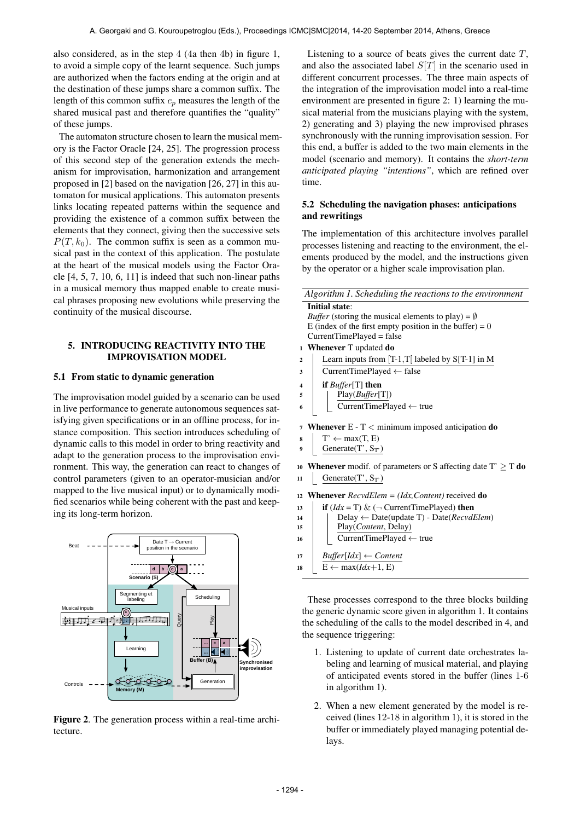also considered, as in the step 4 (4a then 4b) in figure 1, to avoid a simple copy of the learnt sequence. Such jumps are authorized when the factors ending at the origin and at the destination of these jumps share a common suffix. The length of this common suffix  $c_p$  measures the length of the shared musical past and therefore quantifies the "quality" of these jumps.

The automaton structure chosen to learn the musical memory is the Factor Oracle [24, 25]. The progression process of this second step of the generation extends the mechanism for improvisation, harmonization and arrangement proposed in [2] based on the navigation [26, 27] in this automaton for musical applications. This automaton presents links locating repeated patterns within the sequence and providing the existence of a common suffix between the elements that they connect, giving then the successive sets  $P(T, k_0)$ . The common suffix is seen as a common musical past in the context of this application. The postulate at the heart of the musical models using the Factor Oracle [4, 5, 7, 10, 6, 11] is indeed that such non-linear paths in a musical memory thus mapped enable to create musical phrases proposing new evolutions while preserving the continuity of the musical discourse.

# 5. INTRODUCING REACTIVITY INTO THE IMPROVISATION MODEL

## 5.1 From static to dynamic generation

The improvisation model guided by a scenario can be used in live performance to generate autonomous sequences satisfying given specifications or in an offline process, for instance composition. This section introduces scheduling of dynamic calls to this model in order to bring reactivity and adapt to the generation process to the improvisation environment. This way, the generation can react to changes of control parameters (given to an operator-musician and/or mapped to the live musical input) or to dynamically modified scenarios while being coherent with the past and keeping its long-term horizon.





Listening to a source of beats gives the current date  $T$ , and also the associated label  $S[T]$  in the scenario used in different concurrent processes. The three main aspects of the integration of the improvisation model into a real-time environment are presented in figure 2: 1) learning the musical material from the musicians playing with the system, 2) generating and 3) playing the new improvised phrases synchronously with the running improvisation session. For this end, a buffer is added to the two main elements in the model (scenario and memory). It contains the *short-term anticipated playing "intentions"*, which are refined over time.

## 5.2 Scheduling the navigation phases: anticipations and rewritings

The implementation of this architecture involves parallel processes listening and reacting to the environment, the elements produced by the model, and the instructions given by the operator or a higher scale improvisation plan.

| Algorithm 1. Scheduling the reactions to the environment              |                       |                                                                            |
|-----------------------------------------------------------------------|-----------------------|----------------------------------------------------------------------------|
|                                                                       | <b>Initial state:</b> |                                                                            |
|                                                                       |                       | <i>Buffer</i> (storing the musical elements to play) = $\emptyset$         |
|                                                                       |                       | E (index of the first empty position in the buffer) = $0$                  |
|                                                                       |                       | CurrentTimePlayed = false                                                  |
| 1                                                                     |                       | <b>Whenever</b> T updated <b>do</b>                                        |
| $\overline{2}$                                                        |                       | Learn inputs from $[T-1,T]$ labeled by S[T-1] in M                         |
| 3                                                                     |                       | $CurrentTimePlayer \leftarrow false$                                       |
| 4                                                                     |                       | if $Buffer[T]$ then                                                        |
| 5                                                                     |                       | Play(Buffer[T])                                                            |
| 6                                                                     |                       | $\overline{\text{CurrentTimePlayer}} \leftarrow \text{true}$               |
|                                                                       |                       |                                                                            |
| $\overline{7}$                                                        |                       | <b>Whenever</b> $E - T <$ minimum imposed anticipation <b>do</b>           |
| 8                                                                     |                       | $T' \leftarrow max(T, E)$                                                  |
| 9                                                                     |                       | Generate $(T', S_T)$                                                       |
|                                                                       |                       | 10 <b>Whenever</b> modif. of parameters or S affecting date $T' \geq T$ do |
|                                                                       |                       |                                                                            |
| 11                                                                    |                       | Generate(T', $S_T$ )                                                       |
| <b>Whenever</b> $RecvdElem = (Idx, Content)$ received <b>do</b><br>12 |                       |                                                                            |
| 13                                                                    |                       | <b>if</b> $(ddx = T) \& (\neg$ CurrentTimePlayed) <b>then</b>              |
| 14                                                                    |                       | Delay $\leftarrow$ Date(update T) - Date(RecvdElem)                        |
| 15                                                                    |                       | Play(Content, Delay)                                                       |
| 16                                                                    |                       | CurrentTimePlayed ← true                                                   |
|                                                                       |                       |                                                                            |
| 17                                                                    |                       | $Buffer[Idx] \leftarrow Content$                                           |
| 18                                                                    |                       | $E \leftarrow max(Idx+1, E)$                                               |

These processes correspond to the three blocks building the generic dynamic score given in algorithm 1. It contains the scheduling of the calls to the model described in 4, and the sequence triggering:

- 1. Listening to update of current date orchestrates labeling and learning of musical material, and playing of anticipated events stored in the buffer (lines 1-6 in algorithm 1).
- 2. When a new element generated by the model is received (lines 12-18 in algorithm 1), it is stored in the buffer or immediately played managing potential delays.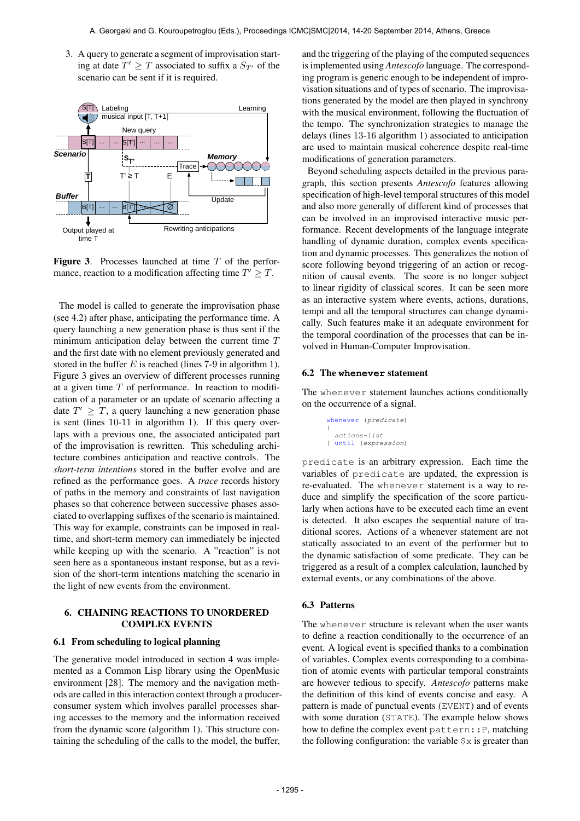3. A query to generate a segment of improvisation starting at date  $T' \geq T$  associated to suffix a  $S_{T'}$  of the scenario can be sent if it is required.



**Figure 3.** Processes launched at time  $T$  of the performance, reaction to a modification affecting time  $T' \geq T$ .

The model is called to generate the improvisation phase (see 4.2) after phase, anticipating the performance time. A query launching a new generation phase is thus sent if the minimum anticipation delay between the current time  $T$ and the first date with no element previously generated and stored in the buffer  $E$  is reached (lines 7-9 in algorithm 1). Figure 3 gives an overview of different processes running at a given time  $T$  of performance. In reaction to modification of a parameter or an update of scenario affecting a date  $T' \geq T$ , a query launching a new generation phase is sent (lines 10-11 in algorithm 1). If this query overlaps with a previous one, the associated anticipated part of the improvisation is rewritten. This scheduling architecture combines anticipation and reactive controls. The *short-term intentions* stored in the buffer evolve and are refined as the performance goes. A *trace* records history of paths in the memory and constraints of last navigation phases so that coherence between successive phases associated to overlapping suffixes of the scenario is maintained. This way for example, constraints can be imposed in realtime, and short-term memory can immediately be injected while keeping up with the scenario. A "reaction" is not seen here as a spontaneous instant response, but as a revision of the short-term intentions matching the scenario in the light of new events from the environment.

# 6. CHAINING REACTIONS TO UNORDERED COMPLEX EVENTS

#### 6.1 From scheduling to logical planning

The generative model introduced in section 4 was implemented as a Common Lisp library using the OpenMusic environment [28]. The memory and the navigation methods are called in this interaction context through a producerconsumer system which involves parallel processes sharing accesses to the memory and the information received from the dynamic score (algorithm 1). This structure containing the scheduling of the calls to the model, the buffer,

and the triggering of the playing of the computed sequences is implemented using *Antescofo* language. The corresponding program is generic enough to be independent of improvisation situations and of types of scenario. The improvisations generated by the model are then played in synchrony with the musical environment, following the fluctuation of the tempo. The synchronization strategies to manage the delays (lines 13-16 algorithm 1) associated to anticipation are used to maintain musical coherence despite real-time modifications of generation parameters.

Beyond scheduling aspects detailed in the previous paragraph, this section presents *Antescofo* features allowing specification of high-level temporal structures of this model and also more generally of different kind of processes that can be involved in an improvised interactive music performance. Recent developments of the language integrate handling of dynamic duration, complex events specification and dynamic processes. This generalizes the notion of score following beyond triggering of an action or recognition of causal events. The score is no longer subject to linear rigidity of classical scores. It can be seen more as an interactive system where events, actions, durations, tempi and all the temporal structures can change dynamically. Such features make it an adequate environment for the temporal coordination of the processes that can be involved in Human-Computer Improvisation.

## 6.2 The **whenever** statement

The whenever statement launches actions conditionally on the occurrence of a signal.

```
whenever (predicate)
{
 actions-list
} until (expression)
```
predicate is an arbitrary expression. Each time the variables of predicate are updated, the expression is re-evaluated. The whenever statement is a way to reduce and simplify the specification of the score particularly when actions have to be executed each time an event is detected. It also escapes the sequential nature of traditional scores. Actions of a whenever statement are not statically associated to an event of the performer but to the dynamic satisfaction of some predicate. They can be triggered as a result of a complex calculation, launched by external events, or any combinations of the above.

# 6.3 Patterns

The whenever structure is relevant when the user wants to define a reaction conditionally to the occurrence of an event. A logical event is specified thanks to a combination of variables. Complex events corresponding to a combination of atomic events with particular temporal constraints are however tedious to specify. *Antescofo* patterns make the definition of this kind of events concise and easy. A pattern is made of punctual events (EVENT) and of events with some duration (STATE). The example below shows how to define the complex event pattern::P, matching the following configuration: the variable  $\frac{1}{2} \times x$  is greater than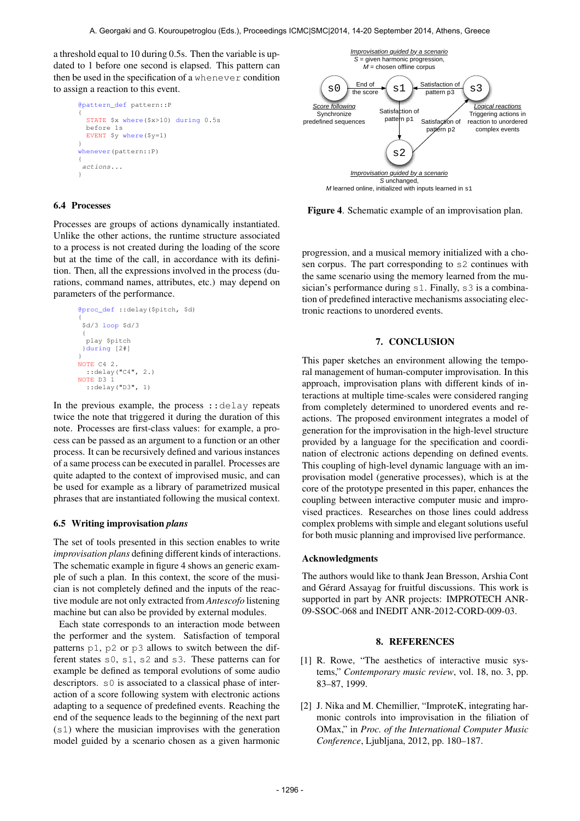a threshold equal to 10 during 0.5s. Then the variable is updated to 1 before one second is elapsed. This pattern can then be used in the specification of a whenever condition to assign a reaction to this event.

```
@pattern_def pattern::P
{
  STATE $x where($x>10) during 0.5s
 before 1s
 EVENT $y where($y=1)
}
whenever(pattern::P)
{
 actions...
}
```
# 6.4 Processes

Processes are groups of actions dynamically instantiated. Unlike the other actions, the runtime structure associated to a process is not created during the loading of the score but at the time of the call, in accordance with its definition. Then, all the expressions involved in the process (durations, command names, attributes, etc.) may depend on parameters of the performance.

> @proc\_def ::delay(\$pitch, \$d) { \$d/3 loop \$d/3 { play \$pitch }during [2#] } NOTE C4 2. ::delay("C4", 2.) NOTE D3 1 ::delay("D3", 1)

In the previous example, the process ::delay repeats twice the note that triggered it during the duration of this note. Processes are first-class values: for example, a process can be passed as an argument to a function or an other process. It can be recursively defined and various instances of a same process can be executed in parallel. Processes are quite adapted to the context of improvised music, and can be used for example as a library of parametrized musical phrases that are instantiated following the musical context.

#### 6.5 Writing improvisation *plans*

The set of tools presented in this section enables to write *improvisation plans* defining different kinds of interactions. The schematic example in figure 4 shows an generic example of such a plan. In this context, the score of the musician is not completely defined and the inputs of the reactive module are not only extracted from *Antescofo* listening machine but can also be provided by external modules.

Each state corresponds to an interaction mode between the performer and the system. Satisfaction of temporal patterns p1, p2 or p3 allows to switch between the different states s0, s1, s2 and s3. These patterns can for example be defined as temporal evolutions of some audio descriptors. s0 is associated to a classical phase of interaction of a score following system with electronic actions adapting to a sequence of predefined events. Reaching the end of the sequence leads to the beginning of the next part (s1) where the musician improvises with the generation model guided by a scenario chosen as a given harmonic



Figure 4. Schematic example of an improvisation plan.

progression, and a musical memory initialized with a chosen corpus. The part corresponding to s2 continues with the same scenario using the memory learned from the musician's performance during s1. Finally, s3 is a combination of predefined interactive mechanisms associating electronic reactions to unordered events.

## 7. CONCLUSION

This paper sketches an environment allowing the temporal management of human-computer improvisation. In this approach, improvisation plans with different kinds of interactions at multiple time-scales were considered ranging from completely determined to unordered events and reactions. The proposed environment integrates a model of generation for the improvisation in the high-level structure provided by a language for the specification and coordination of electronic actions depending on defined events. This coupling of high-level dynamic language with an improvisation model (generative processes), which is at the core of the prototype presented in this paper, enhances the coupling between interactive computer music and improvised practices. Researches on those lines could address complex problems with simple and elegant solutions useful for both music planning and improvised live performance.

### Acknowledgments

The authors would like to thank Jean Bresson, Arshia Cont and Gérard Assayag for fruitful discussions. This work is supported in part by ANR projects: IMPROTECH ANR-09-SSOC-068 and INEDIT ANR-2012-CORD-009-03.

#### 8. REFERENCES

- [1] R. Rowe, "The aesthetics of interactive music systems," *Contemporary music review*, vol. 18, no. 3, pp. 83–87, 1999.
- [2] J. Nika and M. Chemillier, "ImproteK, integrating harmonic controls into improvisation in the filiation of OMax," in *Proc. of the International Computer Music Conference*, Ljubljana, 2012, pp. 180–187.